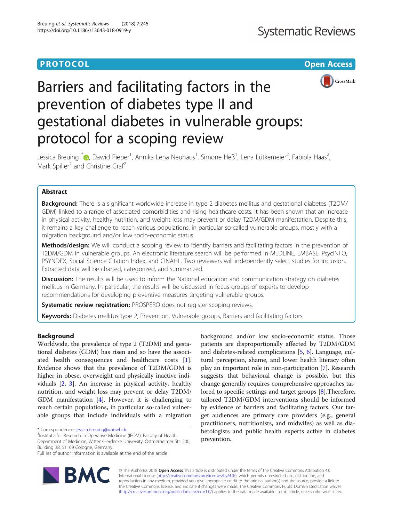### **PROTOCOL CONSUMING THE OPEN ACCESS**



# Barriers and facilitating factors in the prevention of diabetes type II and gestational diabetes in vulnerable groups: protocol for a scoping review

Jessica Breuing<sup>1[\\*](http://orcid.org/0000-0002-3433-6464)</sup>®, Dawid Pieper<sup>1</sup>, Annika Lena Neuhaus<sup>1</sup>, Simone Heß<sup>1</sup>, Lena Lütkemeier<sup>2</sup>, Fabiola Haas<sup>2</sup> .<br>, Mark Spiller<sup>2</sup> and Christine Graf<sup>2</sup>

#### Abstract

Background: There is a significant worldwide increase in type 2 diabetes mellitus and gestational diabetes (T2DM/ GDM) linked to a range of associated comorbidities and rising healthcare costs. It has been shown that an increase in physical activity, healthy nutrition, and weight loss may prevent or delay T2DM/GDM manifestation. Despite this, it remains a key challenge to reach various populations, in particular so-called vulnerable groups, mostly with a migration background and/or low socio-economic status.

Methods/design: We will conduct a scoping review to identify barriers and facilitating factors in the prevention of T2DM/GDM in vulnerable groups. An electronic literature search will be performed in MEDLINE, EMBASE, PsycINFO, PSYNDEX, Social Science Citation Index, and CINAHL. Two reviewers will independently select studies for inclusion. Extracted data will be charted, categorized, and summarized.

**Discussion:** The results will be used to inform the National education and communication strategy on diabetes mellitus in Germany. In particular, the results will be discussed in focus groups of experts to develop recommendations for developing preventive measures targeting vulnerable groups.

Systematic review registration: PROSPERO does not register scoping reviews.

Keywords: Diabetes mellitus type 2, Prevention, Vulnerable groups, Barriers and facilitating factors

#### Background

Worldwide, the prevalence of type 2 (T2DM) and gestational diabetes (GDM) has risen and so have the associated health consequences and healthcare costs [\[1](#page-3-0)]. Evidence shows that the prevalence of T2DM/GDM is higher in obese, overweight and physically inactive individuals [[2,](#page-3-0) [3\]](#page-3-0). An increase in physical activity, healthy nutrition, and weight loss may prevent or delay T2DM/ GDM manifestation [\[4](#page-3-0)]. However, it is challenging to reach certain populations, in particular so-called vulnerable groups that include individuals with a migration

<sup>1</sup>Institute for Research in Operative Medicine (IFOM), Faculty of Health, Department of Medicine, Witten/Herdecke University, Ostmerheimer Str. 200, Building 38, 51109 Cologne, Germany

Full list of author information is available at the end of the article





© The Author(s). 2018 Open Access This article is distributed under the terms of the Creative Commons Attribution 4.0 International License [\(http://creativecommons.org/licenses/by/4.0/](http://creativecommons.org/licenses/by/4.0/)), which permits unrestricted use, distribution, and reproduction in any medium, provided you give appropriate credit to the original author(s) and the source, provide a link to the Creative Commons license, and indicate if changes were made. The Creative Commons Public Domain Dedication waiver [\(http://creativecommons.org/publicdomain/zero/1.0/](http://creativecommons.org/publicdomain/zero/1.0/)) applies to the data made available in this article, unless otherwise stated.

<sup>\*</sup> Correspondence: [jessica.breuing@uni-wh.de](mailto:jessica.breuing@uni-wh.de) <sup>1</sup>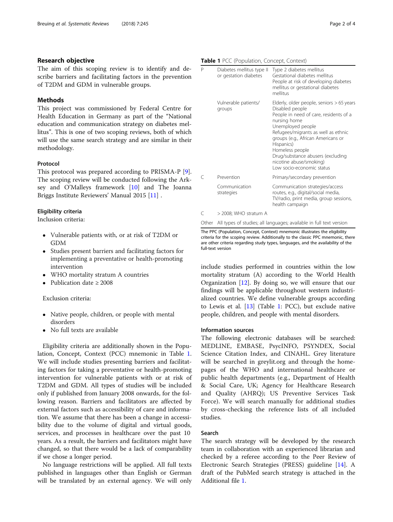#### Research objective

The aim of this scoping review is to identify and describe barriers and facilitating factors in the prevention of T2DM and GDM in vulnerable groups.

#### Methods

This project was commissioned by Federal Centre for Health Education in Germany as part of the "National education and communication strategy on diabetes mellitus". This is one of two scoping reviews, both of which will use the same search strategy and are similar in their methodology.

#### Protocol

This protocol was prepared according to PRISMA-P [\[9](#page-3-0)]. The scoping review will be conducted following the Arksey and O'Malleys framework [[10\]](#page-3-0) and The Joanna Briggs Institute Reviewers' Manual 2015 [[11](#page-3-0)] .

#### Eligibility criteria

Inclusion criteria:

- Vulnerable patients with, or at risk of T2DM or GDM
- Studies present barriers and facilitating factors for implementing a preventative or health-promoting intervention
- WHO mortality stratum A countries
- Publication date ≥ 2008

#### Exclusion criteria:

- Native people, children, or people with mental disorders
- No full texts are available

Eligibility criteria are additionally shown in the Population, Concept, Context (PCC) mnemonic in Table 1. We will include studies presenting barriers and facilitating factors for taking a preventative or health-promoting intervention for vulnerable patients with or at risk of T2DM and GDM. All types of studies will be included only if published from January 2008 onwards, for the following reason. Barriers and facilitators are affected by external factors such as accessibility of care and information. We assume that there has been a change in accessibility due to the volume of digital and virtual goods, services, and processes in healthcare over the past 10 years. As a result, the barriers and facilitators might have changed, so that there would be a lack of comparability if we chose a longer period.

No language restrictions will be applied. All full texts published in languages other than English or German will be translated by an external agency. We will only

Table 1 PCC (Population, Concept, Context)

| P | Diabetes mellitus type II<br>or gestation diabetes | Type 2 diabetes mellitus<br>Gestational diabetes mellitus<br>People at risk of developing diabetes<br>mellitus or gestational diabetes<br>mellitus                                                                                                                                                                                                     |
|---|----------------------------------------------------|--------------------------------------------------------------------------------------------------------------------------------------------------------------------------------------------------------------------------------------------------------------------------------------------------------------------------------------------------------|
|   | Vulnerable patients/<br>groups                     | Elderly, older people, seniors > 65 years<br>Disabled people<br>People in need of care, residents of a<br>nursing home<br>Unemployed people<br>Refugees/migrants as well as ethnic<br>groups (e.g., African Americans or<br>Hispanics)<br>Homeless people<br>Drug/substance abusers (excluding<br>nicotine abuse/smoking)<br>Low socio-economic status |
| C | Prevention                                         | Primary/secondary prevention                                                                                                                                                                                                                                                                                                                           |
|   | Communication<br>strategies                        | Communication strategies/access<br>routes, e.g., digital/social media,<br>TV/radio, print media, group sessions,<br>health campaign                                                                                                                                                                                                                    |
|   | > 2008; WHO stratum A                              |                                                                                                                                                                                                                                                                                                                                                        |

Other All types of studies; all languages; available in full text version

The PPC (Population, Concept, Context) mnemonic illustrates the eligibility criteria for the scoping review. Additionally to the classic PPC mnemonic, there are other criteria regarding study types, languages, and the availability of the full-text version

include studies performed in countries within the low mortality stratum (A) according to the World Health Organization [\[12](#page-3-0)]. By doing so, we will ensure that our findings will be applicable throughout western industrialized countries. We define vulnerable groups according to Lewis et al. [\[13](#page-3-0)] (Table 1: PCC), but exclude native people, children, and people with mental disorders.

#### Information sources

The following electronic databases will be searched: MEDLINE, EMBASE, PsycINFO, PSYNDEX, Social Science Citation Index, and CINAHL. Grey literature will be searched in greylit.org and through the homepages of the WHO and international healthcare or public health departments (e.g., Department of Health & Social Care, UK; Agency for Healthcare Research and Quality (AHRQ); US Preventive Services Task Force). We will search manually for additional studies by cross-checking the reference lists of all included studies.

#### Search

The search strategy will be developed by the research team in collaboration with an experienced librarian and checked by a referee according to the Peer Review of Electronic Search Strategies (PRESS) guideline [\[14](#page-3-0)]. A draft of the PubMed search strategy is attached in the Additional file [1](#page-2-0).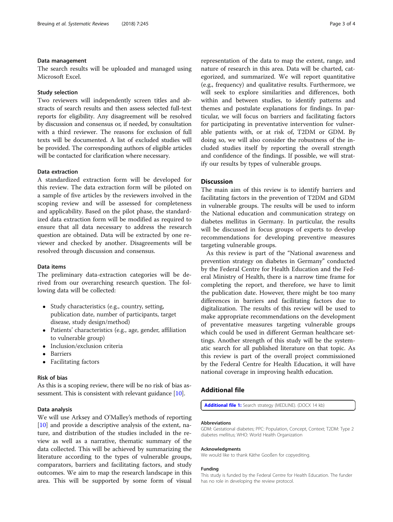#### <span id="page-2-0"></span>Data management

The search results will be uploaded and managed using Microsoft Excel.

#### Study selection

Two reviewers will independently screen titles and abstracts of search results and then assess selected full-text reports for eligibility. Any disagreement will be resolved by discussion and consensus or, if needed, by consultation with a third reviewer. The reasons for exclusion of full texts will be documented. A list of excluded studies will be provided. The corresponding authors of eligible articles will be contacted for clarification where necessary.

#### Data extraction

A standardized extraction form will be developed for this review. The data extraction form will be piloted on a sample of five articles by the reviewers involved in the scoping review and will be assessed for completeness and applicability. Based on the pilot phase, the standardized data extraction form will be modified as required to ensure that all data necessary to address the research question are obtained. Data will be extracted by one reviewer and checked by another. Disagreements will be resolved through discussion and consensus.

#### Data items

The preliminary data-extraction categories will be derived from our overarching research question. The following data will be collected:

- Study characteristics (e.g., country, setting, publication date, number of participants, target disease, study design/method)
- Patients' characteristics (e.g., age, gender, affiliation to vulnerable group)
- Inclusion/exclusion criteria
- Barriers
- Facilitating factors

#### Risk of bias

As this is a scoping review, there will be no risk of bias as-sessment. This is consistent with relevant guidance [[10\]](#page-3-0).

#### Data analysis

We will use Arksey and O'Malley's methods of reporting [[10\]](#page-3-0) and provide a descriptive analysis of the extent, nature, and distribution of the studies included in the review as well as a narrative, thematic summary of the data collected. This will be achieved by summarizing the literature according to the types of vulnerable groups, comparators, barriers and facilitating factors, and study outcomes. We aim to map the research landscape in this area. This will be supported by some form of visual representation of the data to map the extent, range, and nature of research in this area. Data will be charted, categorized, and summarized. We will report quantitative (e.g., frequency) and qualitative results. Furthermore, we will seek to explore similarities and differences, both within and between studies, to identify patterns and themes and postulate explanations for findings. In particular, we will focus on barriers and facilitating factors for participating in preventative intervention for vulnerable patients with, or at risk of, T2DM or GDM. By doing so, we will also consider the robustness of the included studies itself by reporting the overall strength and confidence of the findings. If possible, we will stratify our results by types of vulnerable groups.

#### **Discussion**

The main aim of this review is to identify barriers and facilitating factors in the prevention of T2DM and GDM in vulnerable groups. The results will be used to inform the National education and communication strategy on diabetes mellitus in Germany. In particular, the results will be discussed in focus groups of experts to develop recommendations for developing preventive measures targeting vulnerable groups.

As this review is part of the "National awareness and prevention strategy on diabetes in Germany" conducted by the Federal Centre for Health Education and the Federal Ministry of Health, there is a narrow time frame for completing the report, and therefore, we have to limit the publication date. However, there might be too many differences in barriers and facilitating factors due to digitalization. The results of this review will be used to make appropriate recommendations on the development of preventative measures targeting vulnerable groups which could be used in different German healthcare settings. Another strength of this study will be the systematic search for all published literature on that topic. As this review is part of the overall project commissioned by the Federal Centre for Health Education, it will have national coverage in improving health education.

#### Additional file

[Additional file 1:](https://doi.org/10.1186/s13643-018-0919-y) Search strategy (MEDLINE). (DOCX 14 kb)

#### Abbreviations

GDM: Gestational diabetes; PPC: Population, Concept, Context; T2DM: Type 2 diabetes mellitus; WHO: World Health Organization

#### Acknowledgments

We would like to thank Käthe Gooßen for copyediting.

#### Funding

This study is funded by the Federal Centre for Health Education. The funder has no role in developing the review protocol.